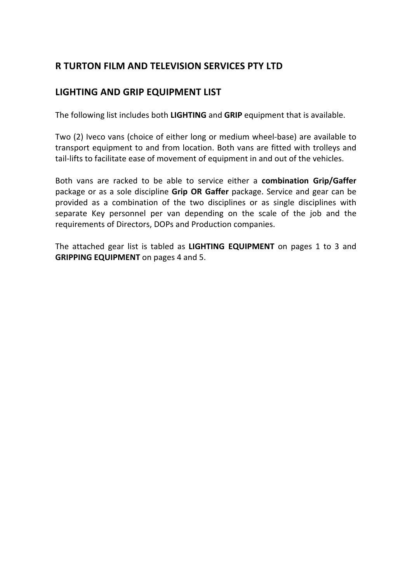# **R TURTON FILM AND TELEVISION SERVICES PTY LTD**

# LIGHTING AND GRIP EQUIPMENT LIST

The following list includes both LIGHTING and GRIP equipment that is available.

Two (2) Iveco vans (choice of either long or medium wheel-base) are available to transport equipment to and from location. Both vans are fitted with trolleys and tail-lifts to facilitate ease of movement of equipment in and out of the vehicles.

Both vans are racked to be able to service either a combination Grip/Gaffer package or as a sole discipline Grip OR Gaffer package. Service and gear can be provided as a combination of the two disciplines or as single disciplines with separate Key personnel per van depending on the scale of the job and the requirements of Directors, DOPs and Production companies.

The attached gear list is tabled as LIGHTING EQUIPMENT on pages 1 to 3 and **GRIPPING EQUIPMENT** on pages 4 and 5.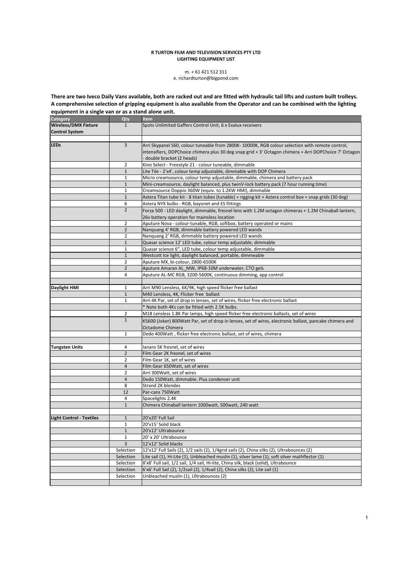#### **R TURTON FILM AND TELEVISION SERVICES PTY LTD LIGHTING EQUIPMENT LIST**

## m. + 61 421 512 311

## e. richardturton@bigpond.com

There are two Iveco Daily Vans available, both are racked out and are fitted with hydraulic tail lifts and custom built trolleys. A comprehensive selection of gripping equipment is also available from the Operator and can be combined with the lighting equipment in a single van or as a stand alone unit.

| Category                        | Qty            | Item                                                                                                     |
|---------------------------------|----------------|----------------------------------------------------------------------------------------------------------|
| <b>Wireless/DMX Fixture</b>     | $\mathbf{1}$   | Spots Unlimited Gaffers Control Unit, 6 x Exalux receivers                                               |
| <b>Control System</b>           |                |                                                                                                          |
|                                 |                |                                                                                                          |
| <b>LEDs</b>                     | 3              | Arri Skypanel S60, colour tuneable from 2800K- 10000K, RGB colour selection with remote control,         |
|                                 |                | intensifiers, DOPChoice chimera plus 30 deg snap grid + 3' Octagon chimera + Arri DOPChoice 7' Octagon   |
|                                 |                | double bracket (2 heads)                                                                                 |
|                                 | 2              | Kino Select - Freestyle 21 - colour tuneable, dimmable                                                   |
|                                 | $\mathbf{1}$   | Lite Tile - 2'x4', colour temp adjustable, dimmable with DOP Chimera                                     |
|                                 | $\mathbf{1}$   | Micro creamsource, colour temp adjustable, dimmable, chimera and battery pack                            |
|                                 | $\mathbf{1}$   | Mini-creamsource, daylight balanced, plus twinV-lock battery pack (7 hour running time)                  |
|                                 | $\mathbf{1}$   | Creamsource Doppio 360W (equiv. to 1.2KW HMI), dimmable                                                  |
|                                 | $1\,$          | Astera Titan tube kit - 8 titan tubes (tunable) + rigging kit + Astera control box + snap grids (30 deg) |
|                                 | 6              | Astera NYX bulbs - RGB, bayonet and ES fittings                                                          |
|                                 | $\overline{2}$ | Forza 500 - LED daylight, dimmable, fresnel lens with 1.2M octagon chimeras + 1.2M Chinaball lantern,    |
|                                 |                | 26v battery operation for mainsless location                                                             |
|                                 | 2              | Aputure Nova - colour-tunable, RGB, softbox, battery operated or mains                                   |
|                                 | $\overline{2}$ | Nanquang 4' RGB, dimmable battery powered LED wands                                                      |
|                                 | 2              | Nanquang 2' RGB, dimmable battery powered LED wands                                                      |
|                                 | $1\,$          | Quasar science 12' LED tube, colour temp adjustable, dimmable                                            |
|                                 | $\mathbf{1}$   | Quasar science 6", LED tube, colour temp adjustable, dimmable                                            |
|                                 | $\mathbf{1}$   | Westcott Ice light, daylight balanced, portable, dimmeable                                               |
|                                 | $\overline{2}$ | Aputure MX, bi-colour, 2800-6500K                                                                        |
|                                 | $\overline{2}$ | Aputure Amaran AL_MW, IP68-10M underwater, CTO gels                                                      |
|                                 | 4              | Aputure AL-MC RGB, 3200-5600K, continuous dimming, app control                                           |
|                                 |                |                                                                                                          |
| Daylight HMI                    | $\mathbf{1}$   | Arri M90 Lensless, 6K/9K, high speed flicker free ballast                                                |
|                                 | $\mathbf{1}$   | M40 Lensless, 4K, Flicker free ballast                                                                   |
|                                 | $\mathbf{1}$   | Arri 4K Par, set of drop in lenses, set of wires, flicker free electronic ballast                        |
|                                 |                | * Note both 4Ks can be fitted with 2.5K bulbs.                                                           |
|                                 | $\overline{2}$ | M18 Lensless 1.8K Par lamps, high speed flicker free electronic ballasts, set of wires                   |
|                                 | $\mathbf{1}$   | K5600 (Joker) 800Watt Par, set of drop in lenses, set of wires, electronic ballast, pancake chimera and  |
|                                 |                | Octadome Chimera                                                                                         |
|                                 | $\mathbf{1}$   | Dedo 400Watt, flicker free electronic ballast, set of wires, chimera                                     |
|                                 |                |                                                                                                          |
| <b>Tungsten Units</b>           | 4              | lanaro 5K fresnel, set of wires                                                                          |
|                                 | $\overline{2}$ | Film Gear 2K fresnel, set of wires                                                                       |
|                                 | $\overline{2}$ | Film Gear 1K, set of wires                                                                               |
|                                 | 4              | Film Gear 650Watt, set of wires                                                                          |
|                                 | $\overline{2}$ | Arri 300Watt, set of wires                                                                               |
|                                 | 4              | Dedo 150Watt, dimmable. Plus condenser unit                                                              |
|                                 | 8              | Strand 2K blondes                                                                                        |
|                                 | 12             | Par-cans 750Watt                                                                                         |
|                                 | 4              | Spacelights 2.4K                                                                                         |
|                                 | $\mathbf{1}$   | Chimera Chinaball lantern 1000watt, 500watt, 240 watt                                                    |
|                                 |                |                                                                                                          |
| <b>Light Control - Textiles</b> | $1\,$          | 20'x20' Full Sail                                                                                        |
|                                 | $\mathbf{1}$   | 20'x15' Solid black                                                                                      |
|                                 | $\mathbf{1}$   | 20'x12' Ultrabounce                                                                                      |
|                                 | $1\,$          | 20' x 20' Ultrabounce                                                                                    |
|                                 | 3              | 12'x12' Solid blacks                                                                                     |
|                                 | Selection      | 12'x12' Full Sails (2), 1/2 sails (2), 1/4grid sails (2), China silks (2), Ultrabounces (2)              |
|                                 | Selection      | Lite sail (1), Hi-Lite (1), Unbleached muslin (1), silver lame (1), soft silver mathflector (1)          |
|                                 | Selection      | 8'x8' Full sail, 1/2 sail, 1/4 sail, Hi-lite, China silk, black (solid), Ultrabounce                     |
|                                 | Selection      | 6'x6' Full Sail (2), 1/2sail (2), 1/4sail (2), China silks (2), Lite sail (1)                            |
|                                 | Selection      | Unbleached muslin (1), Ultrabounces (2)                                                                  |
|                                 |                |                                                                                                          |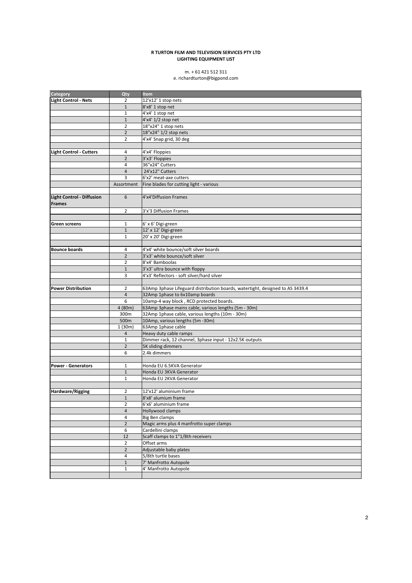#### **R TURTON FILM AND TELEVISION SERVICES PTY LTD** LIGHTING EQUIPMENT LIST

# m. + 61 421 512 311

## e. richardturton@bigpond.com

| Category                                   | Qty              | Item                                                                          |
|--------------------------------------------|------------------|-------------------------------------------------------------------------------|
| <b>Light Control - Nets</b>                | $\overline{2}$   | 12'x12' 1 stop nets                                                           |
|                                            | $\mathbf{1}$     | 8'x8' 1 stop net                                                              |
|                                            | $\mathbf{1}$     | 4'x4' 1 stop net                                                              |
|                                            | $\mathbf{1}$     | 4'x4' 1/2 stop net                                                            |
|                                            | $\overline{2}$   | 18"x24" 1 stop nets                                                           |
|                                            | $\overline{2}$   | 18"x24" 1/2 stop nets                                                         |
|                                            | $\overline{2}$   | 4'x4' Snap grid, 30 deg                                                       |
|                                            |                  |                                                                               |
| <b>Light Control - Cutters</b>             | 4                | 4'x4' Floppies                                                                |
|                                            | $\overline{2}$   | 3'x3' Floppies                                                                |
|                                            | $\overline{4}$   | 36"x24" Cutters                                                               |
|                                            | 4                | 24'x12" Cutters                                                               |
|                                            | 3                | 6'x2' meat-axe cutters                                                        |
|                                            | Assortment       | Fine blades for cutting light - various                                       |
|                                            |                  |                                                                               |
| Light Control - Diffusion<br><b>Frames</b> | 6                | 4'x4'Diffusion Frames                                                         |
|                                            | $\overline{2}$   | 3'x'3 Diffusion Frames                                                        |
|                                            |                  |                                                                               |
| Green screens                              | $\mathbf{1}$     | 6' x 6' Digi-green                                                            |
|                                            | $\mathbf{1}$     | 12' x 12' Digi-green                                                          |
|                                            | $\mathbf{1}$     | 20' x 20' Digi-green                                                          |
|                                            |                  |                                                                               |
| <b>Bounce boards</b>                       | 4                | 4'x4' white bounce/soft silver boards                                         |
|                                            | $\overline{2}$   | 3'x3' white bounce/soft silver                                                |
|                                            | $\overline{2}$   | 8'x4' Bamboolas                                                               |
|                                            | $\mathbf{1}$     | 3'x3' ultra bounce with floppy                                                |
|                                            | 3                | 4'x3' Reflectors - soft silver/hard silver                                    |
|                                            |                  |                                                                               |
| <b>Power Distribution</b>                  | $\overline{2}$   | 63Amp 3phase Lifeguard distribution boards, watertight, designed to AS 3439.4 |
|                                            | $\overline{4}$   | 32Amp 1phase to 6x10amp boards                                                |
|                                            | 6                | 10amp-4 way block, RCD protected boards.                                      |
|                                            | 4 (80m)          | 63Amp 3phase mains cable, various lengths (5m - 30m)                          |
|                                            | 300m             | 32Amp 1phase cable, various lengths (10m - 30m)                               |
|                                            | 500m             | 10Amp, various lengths (5m -30m)                                              |
|                                            | 1(30m)           | 63Amp 1phase cable                                                            |
|                                            | $\overline{4}$   | Heavy duty cable ramps                                                        |
|                                            | $1\,$            | Dimmer rack, 12 channel, 3phase input - 12x2.5K outputs                       |
|                                            | $\overline{2}$   | 5K sliding dimmers                                                            |
|                                            | 6                | 2.4k dimmers                                                                  |
|                                            |                  |                                                                               |
| <b>Power - Generators</b>                  | $\mathbf{1}$     | Honda EU 6.5KVA Generator                                                     |
|                                            | $1\,$            | Honda EU 3KVA Generator                                                       |
|                                            | $\mathbf{1}$     | Honda EU 2KVA Generator                                                       |
|                                            |                  |                                                                               |
| <b>Hardware/Rigging</b>                    | 2                | 12'x12' aluminium frame                                                       |
|                                            | $1\,$            | 8'x8' alumium frame                                                           |
|                                            | $\overline{2}$   | 6'x6' aluminium frame                                                         |
|                                            | $\overline{4}$   | Hollywood clamps                                                              |
|                                            | 4                | Big Ben clamps                                                                |
|                                            | $\overline{2}$   | Magic arms plus 4 manfrotto super clamps                                      |
|                                            | $\boldsymbol{6}$ | Cardellini clamps                                                             |
|                                            | 12               | Scaff clamps to 1"1/8th receivers                                             |
|                                            | $\overline{2}$   | Offset arms                                                                   |
|                                            | $\overline{2}$   | Adjustable baby plates                                                        |
|                                            | 4                | 5/8th turtle bases                                                            |
|                                            | $1\,$            | 7' Manfrotto Autopole                                                         |
|                                            | $\mathbf{1}$     | 4' Manfrotto Autopole                                                         |
|                                            |                  |                                                                               |
|                                            |                  |                                                                               |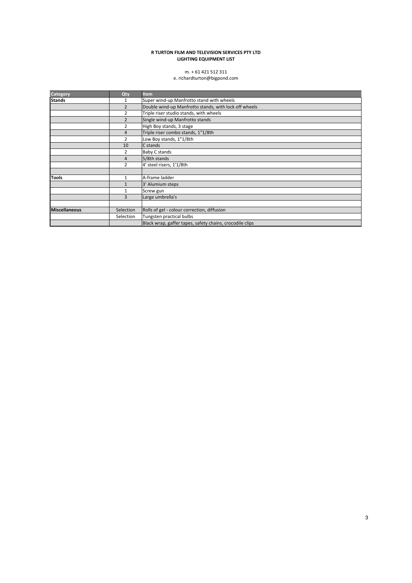#### **R TURTON FILM AND TELEVISION SERVICES PTY LTD** LIGHTING EQUIPMENT LIST

# m. + 61 421 512 311

e. richardturton@bigpond.com

| <b>Category</b> | Qty            | <b>Item</b>                                              |
|-----------------|----------------|----------------------------------------------------------|
| <b>Stands</b>   |                | Super wind-up Manfrotto stand with wheels                |
|                 | $\overline{2}$ | Double wind-up Manfrotto stands, with lock off wheels    |
|                 | $\overline{2}$ | Triple riser studio stands, with wheels                  |
|                 | $\overline{2}$ | Single wind-up Manfrotto stands                          |
|                 | 2              | High Boy stands, 3 stage                                 |
|                 | $\overline{4}$ | Triple riser combo stands, 1"1/8th                       |
|                 | $\overline{2}$ | Low Boy stands, 1"1/8th                                  |
|                 | 10             | C stands                                                 |
|                 | 2              | Baby C stands                                            |
|                 | 4              | 5/8th stands                                             |
|                 | $\overline{2}$ | 4' steel risers, 1'1/8th                                 |
|                 |                |                                                          |
| <b>Tools</b>    | $\mathbf{1}$   | A-frame ladder                                           |
|                 |                | 3' Alumium steps                                         |
|                 |                | Screw gun                                                |
|                 | 3              | Large umbrella's                                         |
|                 |                |                                                          |
| Miscellaneous   | Selection      | Rolls of gel - colour correction, diffusion              |
|                 | Selection      | Tungsten practical bulbs                                 |
|                 |                | Black wrap, gaffer tapes, safety chains, crocodile clips |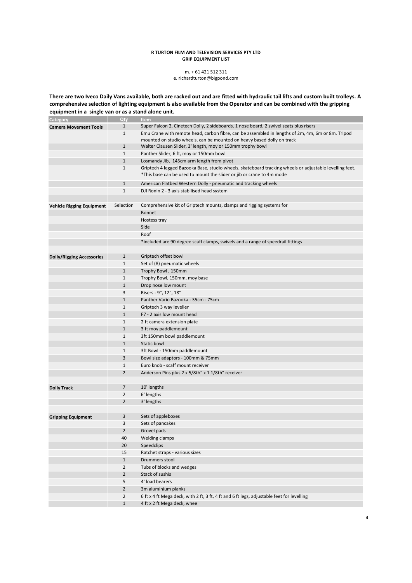#### **R TURTON FILM AND TELEVISION SERVICES PTY LTD GRIP EQUIPMENT LIST**

## m. + 61 421 512 311

e. richardturton@bigpond.com

There are two Iveco Daily Vans available, both are racked out and are fitted with hydraulic tail lifts and custom built trolleys. A comprehensive selection of lighting equipment is also available from the Operator and can be combined with the gripping equipment in a single van or as a stand alone unit.

| Category                         | Qty            | <b>Item</b>                                                                                                                                                                      |
|----------------------------------|----------------|----------------------------------------------------------------------------------------------------------------------------------------------------------------------------------|
| <b>Camera Movement Tools</b>     | $\mathbf{1}$   | Super Falcon 2, Cinetech Dolly, 2 sideboards, 1 nose board, 2 swivel seats plus risers                                                                                           |
|                                  | $\mathbf{1}$   | Emu Crane with remote head, carbon fibre, can be assembled in lengths of 2m, 4m, 6m or 8m. Tripod                                                                                |
|                                  |                | mounted on studio wheels, can be mounted on heavy based dolly on track                                                                                                           |
|                                  | $\mathbf{1}$   | Walter Clausen Slider, 3' length, moy or 150mm trophy bowl                                                                                                                       |
|                                  | $\mathbf{1}$   | Panther Slider, 6 ft, moy or 150mm bowl                                                                                                                                          |
|                                  | $\mathbf{1}$   | Losmandy Jib, 145cm arm length from pivot                                                                                                                                        |
|                                  | $\mathbf{1}$   | Griptech 4 legged Bazooka Base, studio wheels, skateboard tracking wheels or adjustable levelling feet.<br>*This base can be used to mount the slider or jib or crane to 4m mode |
|                                  | $\mathbf{1}$   | American Flatbed Western Dolly - pneumatic and tracking wheels                                                                                                                   |
|                                  | $\mathbf{1}$   | DJI Ronin 2 - 3 axis stabilised head system                                                                                                                                      |
|                                  |                |                                                                                                                                                                                  |
| <b>Vehicle Rigging Equipment</b> | Selection      | Comprehensive kit of Griptech mounts, clamps and rigging systems for                                                                                                             |
|                                  |                | Bonnet                                                                                                                                                                           |
|                                  |                | Hostess tray                                                                                                                                                                     |
|                                  |                | Side                                                                                                                                                                             |
|                                  |                | Roof                                                                                                                                                                             |
|                                  |                | *included are 90 degree scaff clamps, swivels and a range of speedrail fittings                                                                                                  |
|                                  |                |                                                                                                                                                                                  |
| <b>Dolly/Rigging Accessories</b> | $\mathbf{1}$   | Griptech offset bowl                                                                                                                                                             |
|                                  | $\mathbf{1}$   | Set of (8) pneumatic wheels                                                                                                                                                      |
|                                  | $\mathbf{1}$   | Trophy Bowl, 150mm                                                                                                                                                               |
|                                  | $\mathbf{1}$   | Trophy Bowl, 150mm, moy base                                                                                                                                                     |
|                                  | $\mathbf{1}$   | Drop nose low mount                                                                                                                                                              |
|                                  | 3              | Risers - 9", 12", 18"                                                                                                                                                            |
|                                  | $\mathbf{1}$   | Panther Vario Bazooka - 35cm - 75cm                                                                                                                                              |
|                                  | $\mathbf{1}$   | Griptech 3 way leveller                                                                                                                                                          |
|                                  | $\mathbf{1}$   | F7 - 2 axis low mount head                                                                                                                                                       |
|                                  | $\mathbf{1}$   | 2 ft camera extension plate                                                                                                                                                      |
|                                  | $\mathbf{1}$   | 3 ft moy paddlemount                                                                                                                                                             |
|                                  | $\mathbf{1}$   | 3ft 150mm bowl paddlemount                                                                                                                                                       |
|                                  | $\mathbf{1}$   | <b>Static bowl</b>                                                                                                                                                               |
|                                  | $\mathbf{1}$   | 3ft Bowl - 150mm paddlemount                                                                                                                                                     |
|                                  | 3              | Bowl size adaptors - 100mm & 75mm                                                                                                                                                |
|                                  | $\mathbf{1}$   | Euro knob - scaff mount receiver                                                                                                                                                 |
|                                  | $\overline{2}$ | Anderson Pins plus 2 x 5/8th" x 1 1/8th" receiver                                                                                                                                |
|                                  |                |                                                                                                                                                                                  |
| <b>Dolly Track</b>               | 7              | 10' lengths                                                                                                                                                                      |
|                                  | $\overline{2}$ | 6' lengths                                                                                                                                                                       |
|                                  | $\overline{2}$ | 3' lengths                                                                                                                                                                       |
|                                  |                |                                                                                                                                                                                  |
| <b>Gripping Equipment</b>        | 3              | Sets of appleboxes                                                                                                                                                               |
|                                  | 3              | Sets of pancakes                                                                                                                                                                 |
|                                  | $\overline{2}$ | Grovel pads                                                                                                                                                                      |
|                                  | 40             | <b>Welding clamps</b>                                                                                                                                                            |
|                                  | 20             | Speedclips                                                                                                                                                                       |
|                                  | 15             | Ratchet straps - various sizes                                                                                                                                                   |
|                                  | $\mathbf{1}$   | Drummers stool                                                                                                                                                                   |
|                                  | $\overline{2}$ | Tubs of blocks and wedges                                                                                                                                                        |
|                                  | $\overline{2}$ | Stack of sushis                                                                                                                                                                  |
|                                  | 5              | 4' load bearers                                                                                                                                                                  |
|                                  | $\overline{2}$ | 3m aluminium planks                                                                                                                                                              |
|                                  | $\overline{2}$ | 6 ft x 4 ft Mega deck, with 2 ft, 3 ft, 4 ft and 6 ft legs, adjustable feet for levelling                                                                                        |
|                                  | $\mathbf{1}$   | 4 ft x 2 ft Mega deck, whee                                                                                                                                                      |
|                                  |                |                                                                                                                                                                                  |